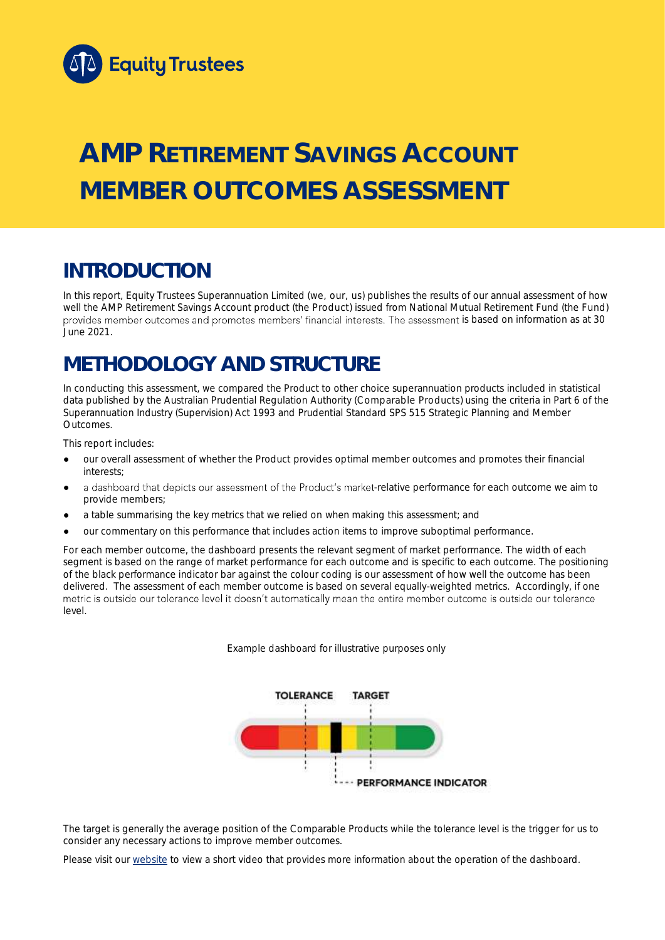

# **AMP RETIREMENT SAVINGS ACCOUNT MEMBER OUTCOMES ASSESSMENT**

# **INTRODUCTION**

In this report, Equity Trustees Superannuation Limited (we, our, us) publishes the results of our annual assessment of how well the AMP Retirement Savings Account product (the Product) issued from National Mutual Retirement Fund (the Fund) provides member outcomes and promotes members' financial interests. The assessment is based on information as at 30 June 2021.

# **METHODOLOGY AND STRUCTURE**

In conducting this assessment, we compared the Product to other choice superannuation products included in statistical data published by the Australian Prudential Regulation Authority (Comparable Products) using the criteria in Part 6 of the *Superannuation Industry (Supervision) Act 1993* and Prudential Standard SPS 515 *Strategic Planning and Member Outcomes*.

This report includes:

- our overall assessment of whether the Product provides optimal member outcomes and promotes their financial interests;
- a dashboard that depicts our assessment of the Product's market-relative performance for each outcome we aim to provide members;
- a table summarising the key metrics that we relied on when making this assessment; and
- our commentary on this performance that includes action items to improve suboptimal performance.

For each member outcome, the dashboard presents the relevant segment of market performance. The width of each segment is based on the range of market performance for each outcome and is specific to each outcome. The positioning of the black performance indicator bar against the colour coding is our assessment of how well the outcome has been delivered. The assessment of each member outcome is based on several equally-weighted metrics. Accordingly, if one metric is outside our tolerance level it doesn't automatically mean the entire member outcome is outside our tolerance level.

*Example dashboard for illustrative purposes only*



The target is generally the average position of the Comparable Products while the tolerance level is the trigger for us to consider any necessary actions to improve member outcomes.

Please visit our [website](https://www.eqt.com.au/superannuation) to view a short video that provides more information about the operation of the dashboard.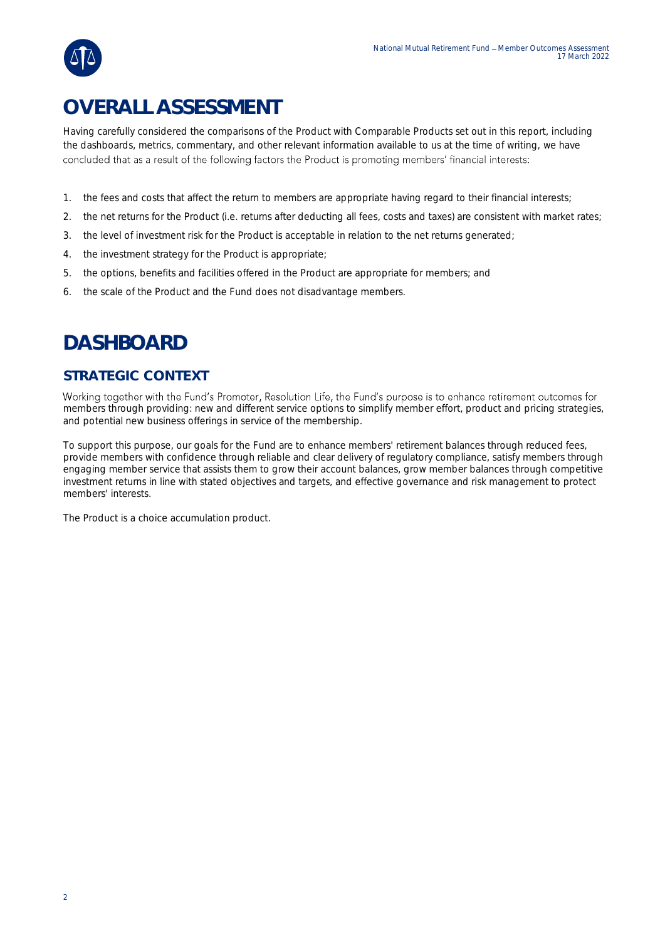

Having carefully considered the comparisons of the Product with Comparable Products set out in this report, including the dashboards, metrics, commentary, and other relevant information available to us at the time of writing, we have concluded that as a result of the following factors the Product is promoting members' financial interests:

- 1. the fees and costs that affect the return to members are appropriate having regard to their financial interests;
- 2. the net returns for the Product (i.e. returns after deducting all fees, costs and taxes) are consistent with market rates;
- 3. the level of investment risk for the Product is acceptable in relation to the net returns generated;
- 4. the investment strategy for the Product is appropriate;
- 5. the options, benefits and facilities offered in the Product are appropriate for members; and
- 6. the scale of the Product and the Fund does not disadvantage members.

# **DASHBOARD**

#### **STRATEGIC CONTEXT**

Working together with the Fund's Promoter, Resolution Life, the Fund's purpose is to enhance retirement outcomes for members through providing: new and different service options to simplify member effort, product and pricing strategies, and potential new business offerings in service of the membership.

To support this purpose, our goals for the Fund are to enhance members' retirement balances through reduced fees, provide members with confidence through reliable and clear delivery of regulatory compliance, satisfy members through engaging member service that assists them to grow their account balances, grow member balances through competitive investment returns in line with stated objectives and targets, and effective governance and risk management to protect members' interests.

The Product is a choice accumulation product.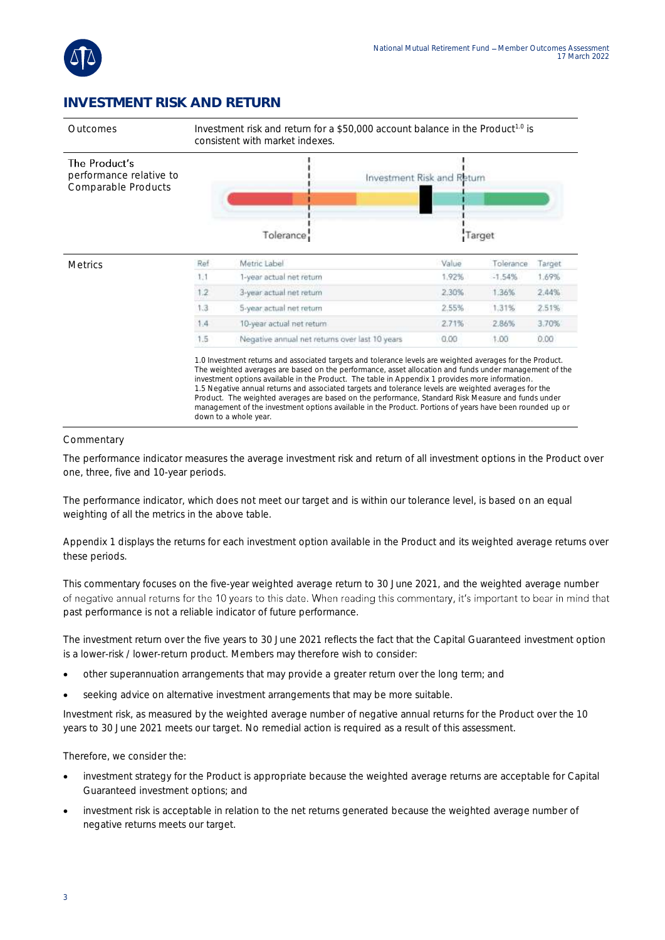

### **INVESTMENT RISK AND RETURN**



#### **Commentary**

The performance indicator measures the average investment risk and return of all investment options in the Product over one, three, five and 10-year periods.

The performance indicator, which does not meet our target and is within our tolerance level, is based on an equal weighting of all the metrics in the above table.

Appendix 1 displays the returns for each investment option available in the Product and its weighted average returns over these periods.

This commentary focuses on the five-year weighted average return to 30 June 2021, and the weighted average number of negative annual returns for the 10 years to this date. When reading this commentary, it's important to bear in mind that past performance is not a reliable indicator of future performance.

The investment return over the five years to 30 June 2021 reflects the fact that the Capital Guaranteed investment option is a lower-risk / lower-return product. Members may therefore wish to consider:

- other superannuation arrangements that may provide a greater return over the long term; and
- seeking advice on alternative investment arrangements that may be more suitable.

Investment risk, as measured by the weighted average number of negative annual returns for the Product over the 10 years to 30 June 2021 meets our target. No remedial action is required as a result of this assessment.

Therefore, we consider the:

- investment strategy for the Product is appropriate because the weighted average returns are acceptable for Capital Guaranteed investment options; and
- investment risk is acceptable in relation to the net returns generated because the weighted average number of negative returns meets our target.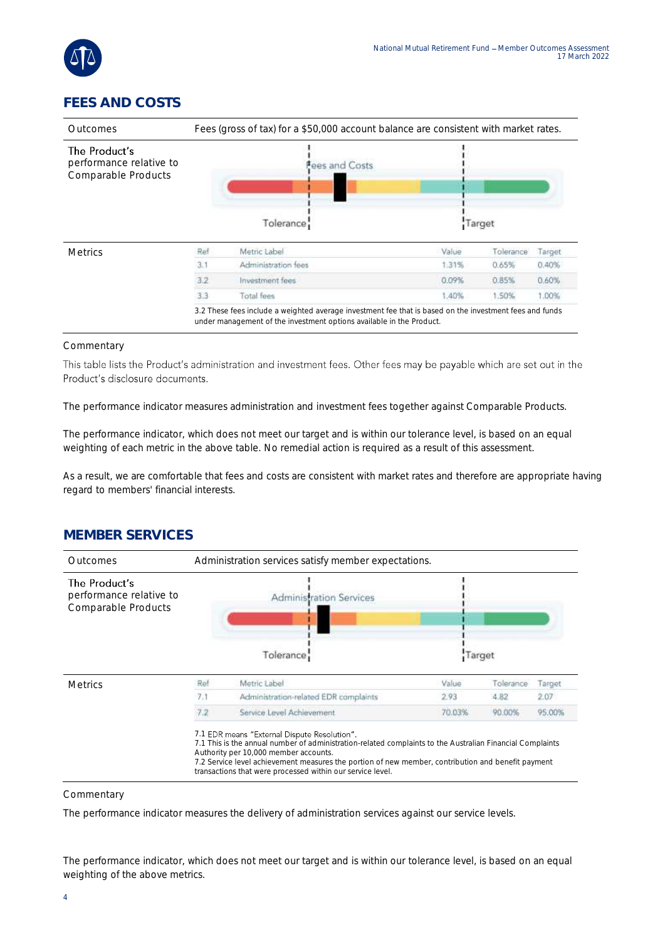

### **FEES AND COSTS**

| Outcomes                                                        | Fees (gross of tax) for a \$50,000 account balance are consistent with market rates. |                                                                                                                                                                                 |        |           |        |  |
|-----------------------------------------------------------------|--------------------------------------------------------------------------------------|---------------------------------------------------------------------------------------------------------------------------------------------------------------------------------|--------|-----------|--------|--|
| The Product's<br>performance relative to<br>Comparable Products |                                                                                      | Fees and Costs                                                                                                                                                                  |        |           |        |  |
|                                                                 | Tolerance                                                                            |                                                                                                                                                                                 | Target |           |        |  |
| <b>Metrics</b>                                                  | Ref                                                                                  | Metric Label                                                                                                                                                                    | Value  | Tolerance | Target |  |
|                                                                 | 3.1                                                                                  | Administration fees                                                                                                                                                             | 1.31%  | 0.65%     | 0.40%  |  |
|                                                                 | 3.2                                                                                  | Investment fees                                                                                                                                                                 | 0.09%  | 0.85%     | 0.60%  |  |
|                                                                 | 3.3                                                                                  | Total fees                                                                                                                                                                      | 1.40%  | 1.50%     | 1.00%  |  |
|                                                                 |                                                                                      | 3.2 These fees include a weighted average investment fee that is based on the investment fees and funds<br>under management of the investment options available in the Product. |        |           |        |  |

#### Commentary

This table lists the Product's administration and investment fees. Other fees may be payable which are set out in the Product's disclosure documents.

The performance indicator measures administration and investment fees together against Comparable Products.

The performance indicator, which does not meet our target and is within our tolerance level, is based on an equal weighting of each metric in the above table. No remedial action is required as a result of this assessment.

As a result, we are comfortable that fees and costs are consistent with market rates and therefore are appropriate having regard to members' financial interests.

#### **MEMBER SERVICES**



#### **Commentary**

The performance indicator measures the delivery of administration services against our service levels.

The performance indicator, which does not meet our target and is within our tolerance level, is based on an equal weighting of the above metrics.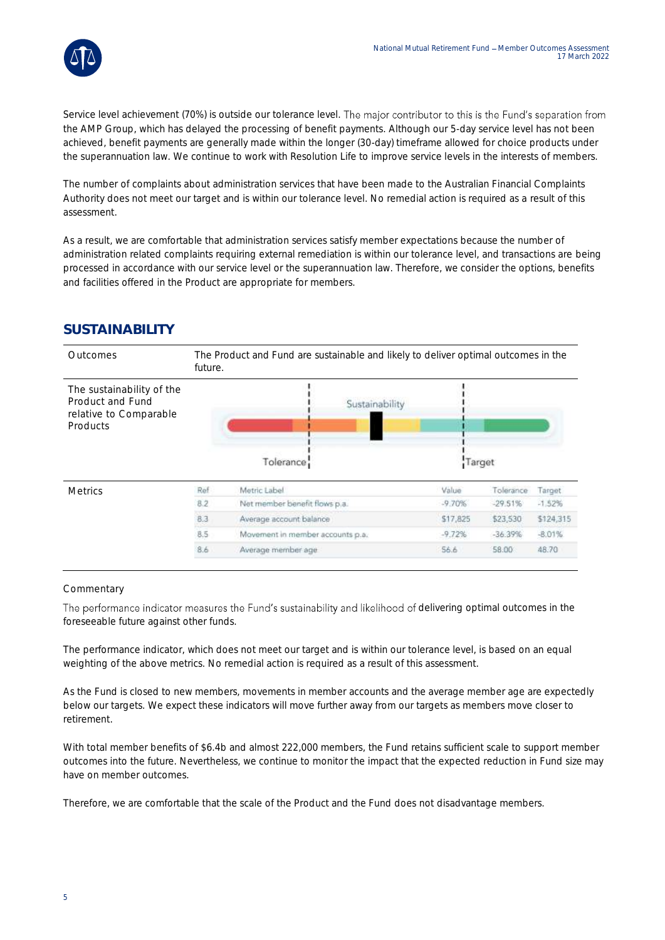

Service level achievement (70%) is outside our tolerance level. The major contributor to this is the Fund's separation from the AMP Group, which has delayed the processing of benefit payments. Although our 5-day service level has not been achieved, benefit payments are generally made within the longer (30-day) timeframe allowed for choice products under the superannuation law. We continue to work with Resolution Life to improve service levels in the interests of members.

The number of complaints about administration services that have been made to the Australian Financial Complaints Authority does not meet our target and is within our tolerance level. No remedial action is required as a result of this assessment.

As a result, we are comfortable that administration services satisfy member expectations because the number of administration related complaints requiring external remediation is within our tolerance level, and transactions are being processed in accordance with our service level or the superannuation law. Therefore, we consider the options, benefits and facilities offered in the Product are appropriate for members.

### **SUSTAINABILITY**

| Outcomes                                                                            | The Product and Fund are sustainable and likely to deliver optimal outcomes in the<br>future. |                                  |          |           |           |  |  |
|-------------------------------------------------------------------------------------|-----------------------------------------------------------------------------------------------|----------------------------------|----------|-----------|-----------|--|--|
| The sustainability of the<br>Product and Fund<br>relative to Comparable<br>Products |                                                                                               | Sustainability<br>Tolerance      | Target   |           |           |  |  |
|                                                                                     |                                                                                               |                                  |          |           |           |  |  |
| <b>Metrics</b>                                                                      | Ref                                                                                           | Metric Label                     | Value    | Tolerance | Target.   |  |  |
|                                                                                     | 8.2                                                                                           | Not member benefit flows p.a.    | $-9.70%$ | $-29.51%$ | $-1.52%$  |  |  |
|                                                                                     | 8.3                                                                                           | Average account balance          | \$17,825 | \$23,530  | \$124,315 |  |  |
|                                                                                     | 8.5                                                                                           | Movement in member accounts p.a. | $-9.72%$ | $-36.39%$ | $-8.01%$  |  |  |
|                                                                                     | 8.6                                                                                           | Average member age               | 56.6     | 58.00     | 48.70     |  |  |
|                                                                                     |                                                                                               |                                  |          |           |           |  |  |

#### Commentary

The performance indicator measures the Fund's sustainability and likelihood of delivering optimal outcomes in the foreseeable future against other funds.

The performance indicator, which does not meet our target and is within our tolerance level, is based on an equal weighting of the above metrics. No remedial action is required as a result of this assessment.

As the Fund is closed to new members, movements in member accounts and the average member age are expectedly below our targets. We expect these indicators will move further away from our targets as members move closer to retirement.

With total member benefits of \$6.4b and almost 222,000 members, the Fund retains sufficient scale to support member outcomes into the future. Nevertheless, we continue to monitor the impact that the expected reduction in Fund size may have on member outcomes.

Therefore, we are comfortable that the scale of the Product and the Fund does not disadvantage members.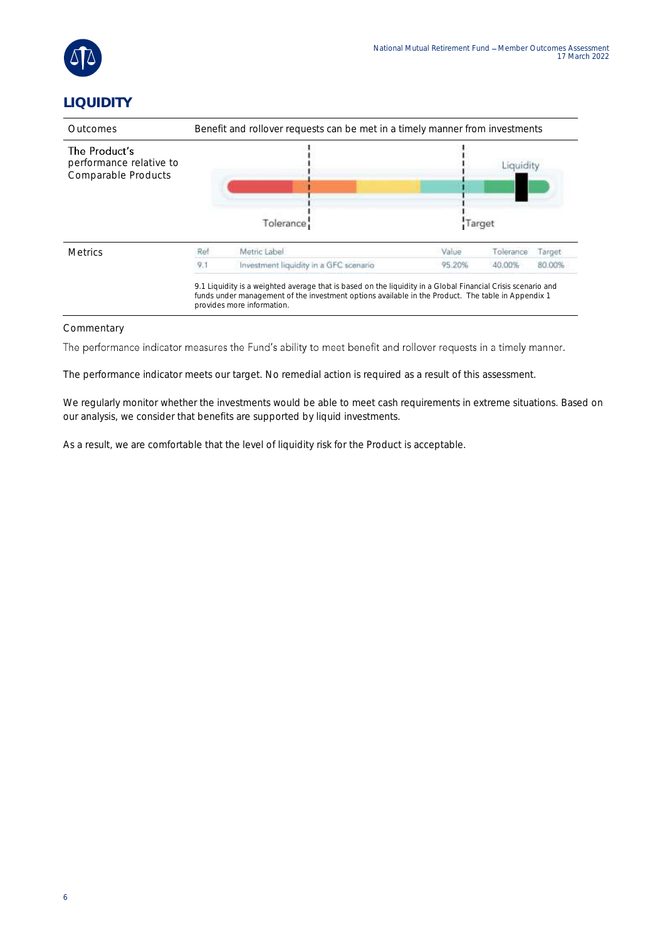

## **LIQUIDITY**

| <b>Outcomes</b>                                                 | Benefit and rollover requests can be met in a timely manner from investments |                                                                                                                                                                                                                                                  |                          |           |        |  |  |
|-----------------------------------------------------------------|------------------------------------------------------------------------------|--------------------------------------------------------------------------------------------------------------------------------------------------------------------------------------------------------------------------------------------------|--------------------------|-----------|--------|--|--|
| The Product's<br>performance relative to<br>Comparable Products | Tolerance                                                                    |                                                                                                                                                                                                                                                  | <b>TOUTORY</b><br>Target |           |        |  |  |
| <b>Metrics</b>                                                  | Ref                                                                          | Metric Label                                                                                                                                                                                                                                     | Value                    | Tolerance | Target |  |  |
|                                                                 | 9.1                                                                          | Investment liquidity in a GFC scenario                                                                                                                                                                                                           | 95.20%                   | 40.00%    | 80.00% |  |  |
|                                                                 |                                                                              | 9.1 Liquidity is a weighted average that is based on the liquidity in a Global Financial Crisis scenario and<br>funds under management of the investment options available in the Product. The table in Appendix 1<br>provides more information. |                          |           |        |  |  |

#### Commentary

The performance indicator measures the Fund's ability to meet benefit and rollover requests in a timely manner.

The performance indicator meets our target. No remedial action is required as a result of this assessment.

We regularly monitor whether the investments would be able to meet cash requirements in extreme situations. Based on our analysis, we consider that benefits are supported by liquid investments.

As a result, we are comfortable that the level of liquidity risk for the Product is acceptable.